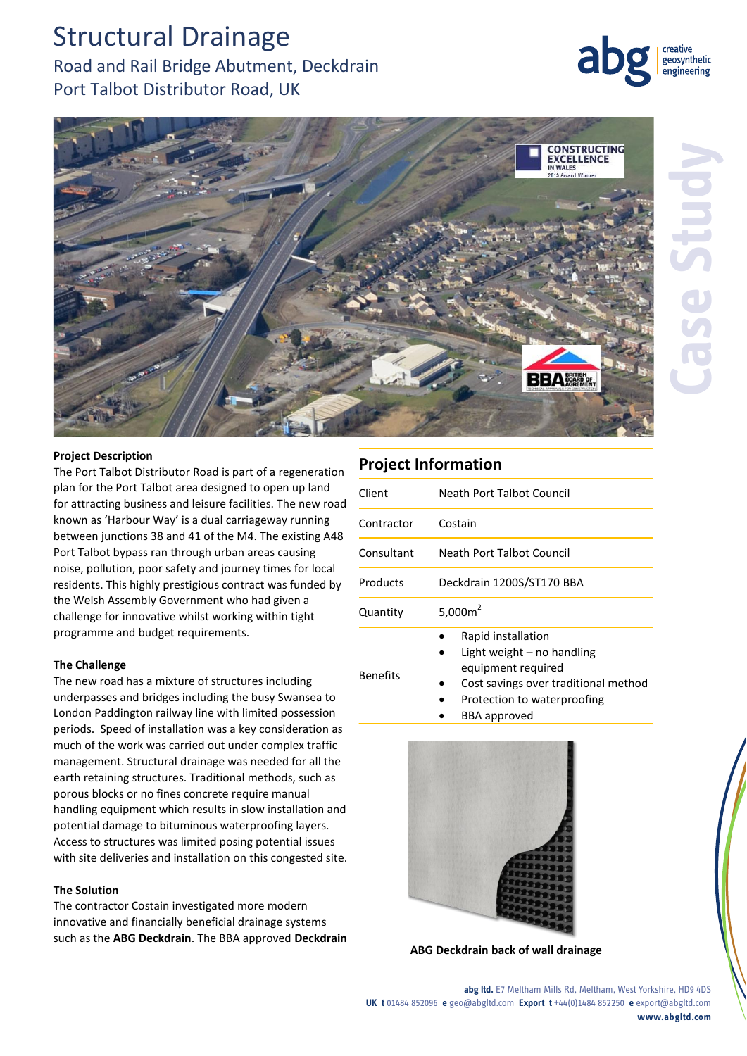# Structural Drainage

## Road and Rail Bridge Abutment, Deckdrain Port Talbot Distributor Road, UK



geosynthetic engineering

### **Project Description**

The Port Talbot Distributor Road is part of a regeneration plan for the Port Talbot area designed to open up land for attracting business and leisure facilities. The new road known as 'Harbour Way' is a dual carriageway running between junctions 38 and 41 of the M4. The existing A48 Port Talbot bypass ran through urban areas causing noise, pollution, poor safety and journey times for local residents. This highly prestigious contract was funded by the Welsh Assembly Government who had given a challenge for innovative whilst working within tight programme and budget requirements.

#### **The Challenge**

The new road has a mixture of structures including underpasses and bridges including the busy Swansea to London Paddington railway line with limited possession periods. Speed of installation was a key consideration as much of the work was carried out under complex traffic management. Structural drainage was needed for all the earth retaining structures. Traditional methods, such as porous blocks or no fines concrete require manual handling equipment which results in slow installation and potential damage to bituminous waterproofing layers. Access to structures was limited posing potential issues with site deliveries and installation on this congested site.

#### **The Solution**

The contractor Costain investigated more modern innovative and financially beneficial drainage systems such as the **ABG Deckdrain**. The BBA approved **Deckdrain**

### **Project Information**

| Client          | Neath Port Talbot Council                                                                                                                                       |
|-----------------|-----------------------------------------------------------------------------------------------------------------------------------------------------------------|
| Contractor      | Costain                                                                                                                                                         |
| Consultant      | Neath Port Talbot Council                                                                                                                                       |
| Products        | Deckdrain 1200S/ST170 BBA                                                                                                                                       |
| Quantity        | 5,000 $m2$                                                                                                                                                      |
| <b>Benefits</b> | Rapid installation<br>Light weight $-$ no handling<br>equipment required<br>Cost savings over traditional method<br>Protection to waterproofing<br>RRA annroved |

BBA approved



**ABG Deckdrain back of wall drainage**

**abg ltd.** E7 Meltham Mills Rd, Meltham, West Yorkshire, HD9 4DS **UK t** 01484 852096 **e** geo@abgltd.com **Export t** +44(0)1484 852250 **e** export@abgltd.com **www.abgltd.com**